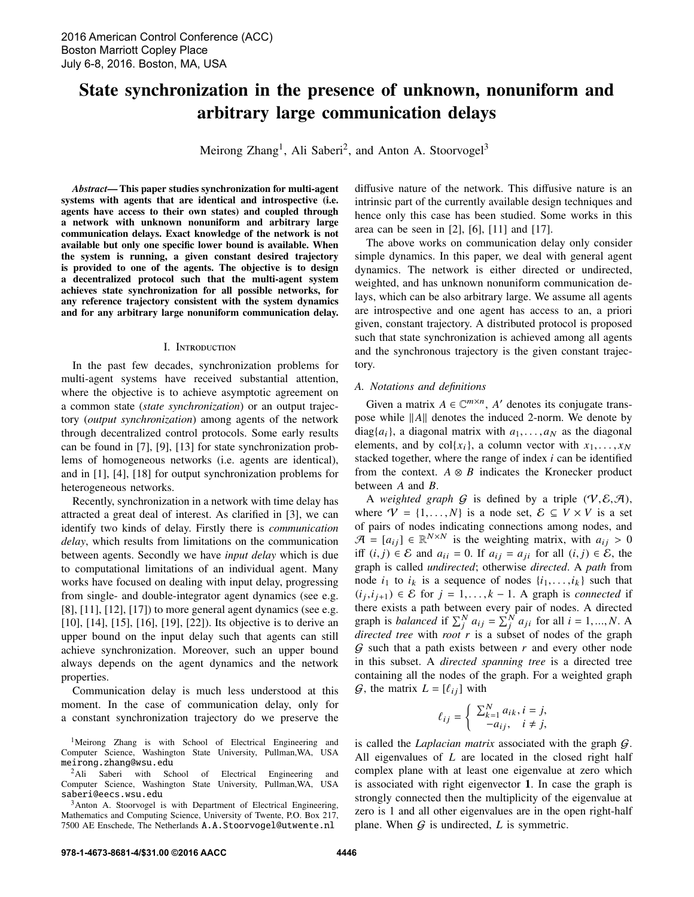# State synchronization in the presence of unknown, nonuniform and arbitrary large communication delays

Meirong Zhang<sup>1</sup>, Ali Saberi<sup>2</sup>, and Anton A. Stoorvogel<sup>3</sup>

*Abstract*— This paper studies synchronization for multi-agent systems with agents that are identical and introspective (i.e. agents have access to their own states) and coupled through a network with unknown nonuniform and arbitrary large communication delays. Exact knowledge of the network is not available but only one specific lower bound is available. When the system is running, a given constant desired trajectory is provided to one of the agents. The objective is to design a decentralized protocol such that the multi-agent system achieves state synchronization for all possible networks, for any reference trajectory consistent with the system dynamics and for any arbitrary large nonuniform communication delay.

## I. Introduction

In the past few decades, synchronization problems for multi-agent systems have received substantial attention, where the objective is to achieve asymptotic agreement on a common state (*state synchronization*) or an output trajectory (*output synchronization*) among agents of the network through decentralized control protocols. Some early results can be found in [7], [9], [13] for state synchronization problems of homogeneous networks (i.e. agents are identical), and in [1], [4], [18] for output synchronization problems for heterogeneous networks.

Recently, synchronization in a network with time delay has attracted a great deal of interest. As clarified in [3], we can identify two kinds of delay. Firstly there is *communication delay*, which results from limitations on the communication between agents. Secondly we have *input delay* which is due to computational limitations of an individual agent. Many works have focused on dealing with input delay, progressing from single- and double-integrator agent dynamics (see e.g. [8], [11], [12], [17]) to more general agent dynamics (see e.g. [10], [14], [15], [16], [19], [22]). Its objective is to derive an upper bound on the input delay such that agents can still achieve synchronization. Moreover, such an upper bound always depends on the agent dynamics and the network properties.

Communication delay is much less understood at this moment. In the case of communication delay, only for a constant synchronization trajectory do we preserve the

<sup>1</sup>Meirong Zhang is with School of Electrical Engineering and Computer Science, Washington State University, Pullman,WA, USA meirong.zhang@wsu.edu

<sup>2</sup>Ali Saberi with School of Electrical Engineering and Computer Science, Washington State University, Pullman,WA, USA saberi@eecs.wsu.edu

<sup>3</sup>Anton A. Stoorvogel is with Department of Electrical Engineering, Mathematics and Computing Science, University of Twente, P.O. Box 217, 7500 AE Enschede, The Netherlands A.A.Stoorvogel@utwente.nl

diffusive nature of the network. This diffusive nature is an intrinsic part of the currently available design techniques and hence only this case has been studied. Some works in this area can be seen in [2], [6], [11] and [17].

The above works on communication delay only consider simple dynamics. In this paper, we deal with general agent dynamics. The network is either directed or undirected, weighted, and has unknown nonuniform communication delays, which can be also arbitrary large. We assume all agents are introspective and one agent has access to an, a priori given, constant trajectory. A distributed protocol is proposed such that state synchronization is achieved among all agents and the synchronous trajectory is the given constant trajectory.

## *A. Notations and definitions*

Given a matrix  $A \in \mathbb{C}^{m \times n}$ , A' denotes its conjugate transpose while  $||A||$  denotes the induced 2-norm. We denote by  $diag{a_i}$ , a diagonal matrix with  $a_1, \ldots, a_N$  as the diagonal elements, and by col $\{x_i\}$ , a column vector with  $x_1, \ldots, x_N$ stacked together, where the range of index *i* can be identified from the context.  $A \otimes B$  indicates the Kronecker product between *A* and *B*.

A *weighted graph*  $G$  is defined by a triple  $(V, \mathcal{E}, \mathcal{A})$ , where  $V = \{1, ..., N\}$  is a node set,  $\mathcal{E} \subseteq V \times V$  is a set of pairs of nodes indicating connections among nodes, and  $\mathcal{A} = [a_{ij}] \in \mathbb{R}^{N \times N}$  is the weighting matrix, with  $a_{ij} > 0$ <br>iff *(i, i)*  $\in \mathcal{E}$  and  $a_{ij} = 0$  If  $a_{ij} = a_{ij}$  for all *(i, i)*  $\in \mathcal{E}$ , the iff  $(i, j)$  ∈ E and  $a_{ii} = 0$ . If  $a_{ij} = a_{ji}$  for all  $(i, j) \in E$ , the graph is called *undirected*; otherwise *directed*. A *path* from node  $i_1$  to  $i_k$  is a sequence of nodes  $\{i_1, \ldots, i_k\}$  such that  $(i_j, i_{j+1}) \in \mathcal{E}$  for  $j = 1, \ldots, k-1$ . A graph is *connected* if there exists a nath between every pair of nodes A directed there exists a path between every pair of nodes. A directed graph is *balanced* if  $\sum_{j}^{N} a_{ij} = \sum_{j}^{N} a_{ji}$  for all  $i = 1, ..., N$ . A *directed tree* with *root r* is a subset of nodes of the graph *directed tree* with *root r* is a subset of nodes of the graph G such that a path exists between *r* and every other node in this subset. A *directed spanning tree* is a directed tree containing all the nodes of the graph. For a weighted graph  $\mathcal{G}$ , the matrix  $L = [\ell_{ij}]$  with

$$
\ell_{ij} = \begin{cases} \sum_{k=1}^{N} a_{ik}, i = j, \\ -a_{ij}, \quad i \neq j, \end{cases}
$$

is called the *Laplacian matrix* associated with the graph G. All eigenvalues of *L* are located in the closed right half complex plane with at least one eigenvalue at zero which is associated with right eigenvector 1. In case the graph is strongly connected then the multiplicity of the eigenvalue at zero is 1 and all other eigenvalues are in the open right-half plane. When  $G$  is undirected,  $L$  is symmetric.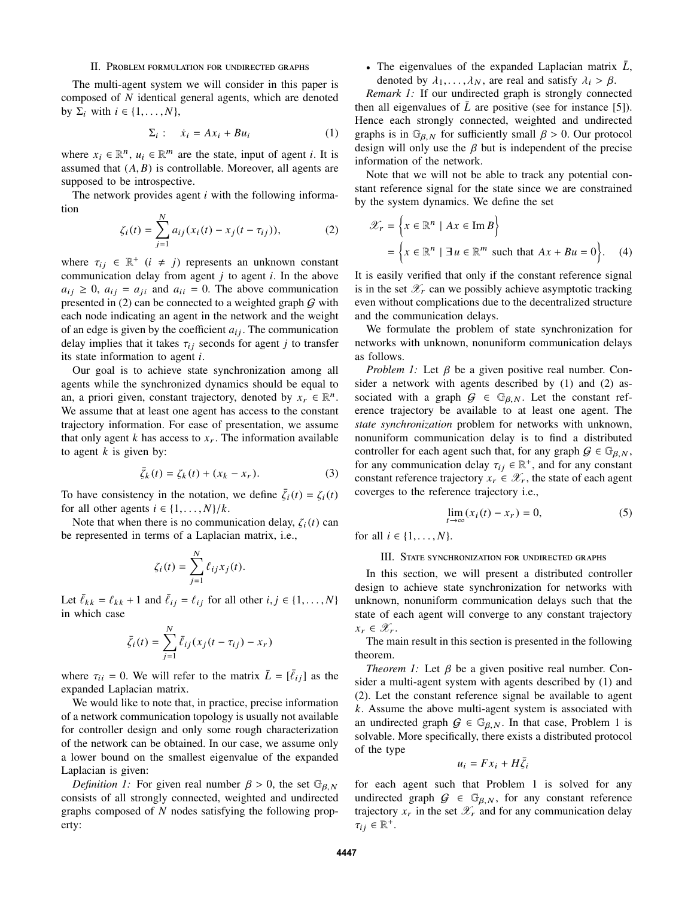### II. Problem formulation for undirected graphs

The multi-agent system we will consider in this paper is composed of *N* identical general agents, which are denoted by  $\Sigma_i$  with  $i \in \{1, \ldots, N\}$ ,

$$
\Sigma_i: \quad \dot{x}_i = Ax_i + Bu_i \tag{1}
$$

where  $x_i \in \mathbb{R}^n$ ,  $u_i \in \mathbb{R}^m$  are the state, input of agent *i*. It is assumed that  $(A, B)$  is controllable. Moreover, all agents are supposed to be introspective.

The network provides agent *i* with the following information

$$
\zeta_i(t) = \sum_{j=1}^N a_{ij}(x_i(t) - x_j(t - \tau_{ij})),
$$
\n(2)

where  $\tau_{ij} \in \mathbb{R}^+$   $(i \neq j)$  represents an unknown constant communication delay from goent *i* to goent *i*. In the above communication delay from agent *j* to agent *i*. In the above  $a_{ij} \geq 0$ ,  $a_{ij} = a_{ji}$  and  $a_{ii} = 0$ . The above communication presented in (2) can be connected to a weighted graph  $G$  with each node indicating an agent in the network and the weight of an edge is given by the coefficient  $a_{ij}$ . The communication delay implies that it takes  $\tau_{ij}$  seconds for agent *j* to transfer its state information to agent *i*.

Our goal is to achieve state synchronization among all agents while the synchronized dynamics should be equal to an, a priori given, constant trajectory, denoted by  $x_r \in \mathbb{R}^n$ . We assume that at least one agent has access to the constant trajectory information. For ease of presentation, we assume that only agent  $k$  has access to  $x_r$ . The information available to agent *k* is given by:

$$
\bar{\zeta}_k(t) = \zeta_k(t) + (x_k - x_r). \tag{3}
$$

To have consistency in the notation, we define  $\bar{\zeta}_i(t) = \zeta_i(t)$ <br>for all other goents  $i \in \{1, \ldots, N\}$ for all other agents  $i \in \{1, \ldots, N\}/k$ .

Note that when there is no communication delay,  $\zeta_i(t)$  can be represented in terms of a Laplacian matrix, i.e.,

$$
\zeta_i(t) = \sum_{j=1}^N \ell_{ij} x_j(t).
$$

Let  $\bar{\ell}_{kk} = \ell_{kk} + 1$  and  $\bar{\ell}_{ij} = \ell_{ij}$  for all other  $i, j \in \{1, \ldots, N\}$ in which case

$$
\bar{\zeta}_i(t) = \sum_{j=1}^N \bar{\ell}_{ij}(x_j(t - \tau_{ij}) - x_r)
$$

where  $\tau_{ii} = 0$ . We will refer to the matrix  $\bar{L} = [\bar{\ell}_{ij}]$  as the expanded I applacian matrix expanded Laplacian matrix.

We would like to note that, in practice, precise information of a network communication topology is usually not available for controller design and only some rough characterization of the network can be obtained. In our case, we assume only a lower bound on the smallest eigenvalue of the expanded Laplacian is given:

*Definition 1:* For given real number  $\beta > 0$ , the set  $\mathbb{G}_{\beta, N}$ consists of all strongly connected, weighted and undirected graphs composed of *N* nodes satisfying the following property:

• The eigenvalues of the expanded Laplacian matrix  $\bar{L}$ , denoted by  $\lambda_1, \ldots, \lambda_N$ , are real and satisfy  $\lambda_i > \beta$ .

*Remark 1:* If our undirected graph is strongly connected then all eigenvalues of  $\bar{L}$  are positive (see for instance [5]). Hence each strongly connected, weighted and undirected graphs is in  $\mathbb{G}_{\beta,N}$  for sufficiently small  $\beta > 0$ . Our protocol design will only use the  $\beta$  but is independent of the precise information of the network.

Note that we will not be able to track any potential constant reference signal for the state since we are constrained by the system dynamics. We define the set

$$
\mathcal{X}_r = \left\{ x \in \mathbb{R}^n \mid Ax \in \operatorname{Im} B \right\}
$$

$$
= \left\{ x \in \mathbb{R}^n \mid \exists u \in \mathbb{R}^m \text{ such that } Ax + Bu = 0 \right\}. \quad (4)
$$

It is easily verified that only if the constant reference signal is in the set  $\mathscr{X}_r$  can we possibly achieve asymptotic tracking even without complications due to the decentralized structure and the communication delays.

We formulate the problem of state synchronization for networks with unknown, nonuniform communication delays as follows.

*Problem 1:* Let β be a given positive real number. Consider a network with agents described by (1) and (2) associated with a graph  $G \in \mathbb{G}_{\beta,N}$ . Let the constant reference trajectory be available to at least one agent. The *state synchronization* problem for networks with unknown, nonuniform communication delay is to find a distributed controller for each agent such that, for any graph  $G \in \mathbb{G}_{\beta,N}$ , for any communication delay  $\tau_{ij} \in \mathbb{R}^+$ , and for any constant<br>constant reference trajectory  $\tau_i \in \mathcal{X}$ , the state of each agent constant reference trajectory  $x_r \in \mathcal{X}_r$ , the state of each agent coverges to the reference trajectory i.e.,

$$
\lim_{t \to \infty} (x_i(t) - x_r) = 0,\tag{5}
$$

for all  $i \in \{1, ..., N\}$ .

#### III. State synchronization for undirected graphs

In this section, we will present a distributed controller design to achieve state synchronization for networks with unknown, nonuniform communication delays such that the state of each agent will converge to any constant trajectory  $x_r \in \mathscr{X}_r$ .

The main result in this section is presented in the following theorem.

*Theorem 1:* Let  $\beta$  be a given positive real number. Consider a multi-agent system with agents described by (1) and (2). Let the constant reference signal be available to agent *k*. Assume the above multi-agent system is associated with an undirected graph  $G \in \mathbb{G}_{\beta, N}$ . In that case, Problem 1 is solvable. More specifically, there exists a distributed protocol of the type

$$
u_i = Fx_i + H\bar{\zeta}_i
$$

for each agent such that Problem 1 is solved for any undirected graph  $G \in \mathbb{G}_{\beta,N}$ , for any constant reference trajectory  $x_r$  in the set  $\mathscr{X}_r$  and for any communication delay  $\tau_{ij} \in \mathbb{R}^+$ .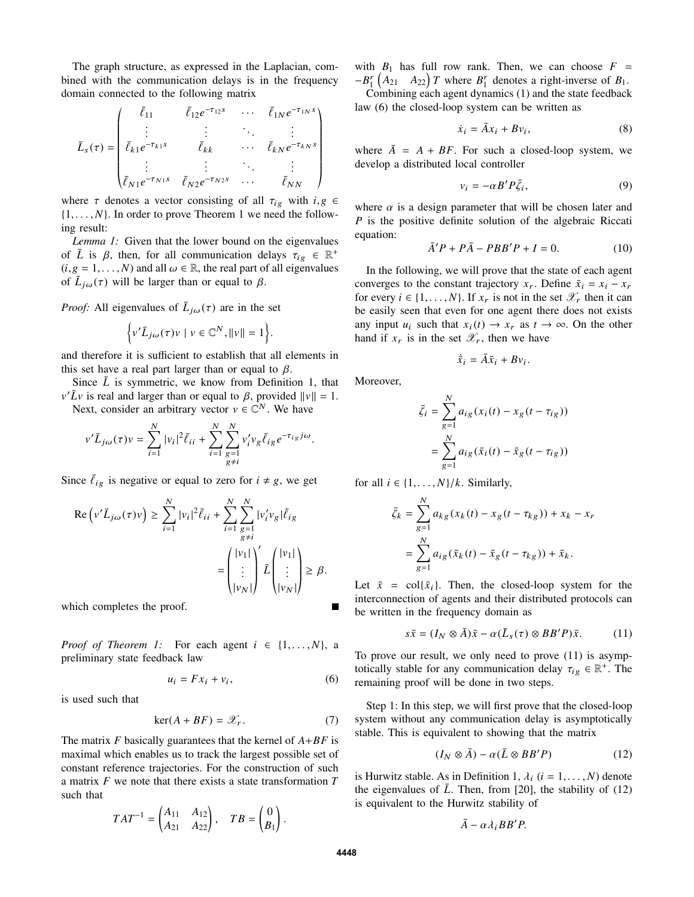The graph structure, as expressed in the Laplacian, combined with the communication delays is in the frequency domain connected to the following matrix

$$
\bar{L}_s(\tau) = \begin{pmatrix}\n\bar{\ell}_{11} & \bar{\ell}_{12}e^{-\tau_{12}s} & \cdots & \bar{\ell}_{1N}e^{-\tau_{1N}s} \\
\vdots & \vdots & \ddots & \vdots \\
\bar{\ell}_{k1}e^{-\tau_{k1}s} & \bar{\ell}_{kk} & \cdots & \bar{\ell}_{kN}e^{-\tau_{kN}s} \\
\vdots & \vdots & \ddots & \vdots \\
\bar{\ell}_{N1}e^{-\tau_{N1}s} & \bar{\ell}_{N2}e^{-\tau_{N2}s} & \cdots & \bar{\ell}_{NN}\n\end{pmatrix}
$$

where  $\tau$  denotes a vector consisting of all  $\tau_{ig}$  with  $i, g \in$  $\{1, \ldots, N\}$ . In order to prove Theorem 1 we need the following result:

*Lemma 1:* Given that the lower bound on the eigenvalues of  $\overline{L}$  is  $\beta$ , then, for all communication delays  $\tau_{ig} \in \mathbb{R}^+$ <br>(*i*  $g - 1$   $N$ ) and all  $\omega \in \mathbb{R}$  the real part of all eigenvalues  $(i, g = 1, \ldots, N)$  and all  $\omega \in \mathbb{R}$ , the real part of all eigenvalues of  $\bar{L}_{j\omega}(\tau)$  will be larger than or equal to  $\beta$ .

*Proof:* All eigenvalues of  $\bar{L}_{j\omega}(\tau)$  are in the set

$$
\left\{v'\overline{L}_{j\omega}(\tau)v\mid v\in\mathbb{C}^N,\|v\|=1\right\}.
$$

and therefore it is sufficient to establish that all elements in this set have a real part larger than or equal to  $\beta$ .

Since  $\bar{L}$  is symmetric, we know from Definition 1, that  $v' \bar{L}v$  is real and larger than or equal to β, provided  $||v|| = 1$ .<br>Next, consider an arbitrary vector  $v \in \mathbb{C}^N$ . We have

Next, consider an arbitrary vector  $v \in \mathbb{C}^N$ . We have

$$
v'\bar{L}_{j\omega}(\tau)v = \sum_{i=1}^N |v_i|^2 \bar{\ell}_{ii} + \sum_{i=1}^N \sum_{\substack{g=1 \ g \neq i}}^N v_i' v_g \bar{\ell}_{ig} e^{-\tau_{ig} j\omega}.
$$

Since  $\ell_{ig}$  is negative or equal to zero for  $i \neq g$ , we get

$$
\operatorname{Re}\left(\nu'\bar{L}_{j\omega}(\tau)\nu\right) \ge \sum_{i=1}^{N} |\nu_{i}|^{2} \bar{\ell}_{ii} + \sum_{i=1}^{N} \sum_{\substack{g=1 \ g \neq i}}^{N} |\nu'_{i}\nu_{g}| \bar{\ell}_{ig}
$$

$$
= \begin{pmatrix} |\nu_{1}| \\ \vdots \\ |\nu_{N}| \end{pmatrix} \mathcal{L} \begin{pmatrix} |\nu_{1}| \\ \vdots \\ |\nu_{N}| \end{pmatrix} \ge \beta.
$$

which completes the proof.

*Proof of Theorem 1:* For each agent  $i \in \{1, \ldots, N\}$ , a preliminary state feedback law

$$
u_i = F x_i + v_i, \tag{6}
$$

is used such that

$$
\ker(A + BF) = \mathcal{X}_r. \tag{7}
$$

The matrix *F* basically guarantees that the kernel of *A*+*BF* is maximal which enables us to track the largest possible set of constant reference trajectories. For the construction of such a matrix *F* we note that there exists a state transformation *T* such that

$$
TAT^{-1} = \begin{pmatrix} A_{11} & A_{12} \\ A_{21} & A_{22} \end{pmatrix}, \quad TB = \begin{pmatrix} 0 \\ B_1 \end{pmatrix}
$$

with  $B_1$  has full row rank. Then, we can choose  $F =$  $-B_1^r$   $(A_{21}$   $A_{22}$ ) *T* where  $B_1^r$  denotes a right-inverse of  $B_1$ . Combining each agent dynamics (1) and the state feedback

law (6) the closed-loop system can be written as

$$
\dot{x}_i = \bar{A}x_i + Bv_i, \tag{8}
$$

where  $\overline{A} = A + BF$ . For such a closed-loop system, we develop a distributed local controller

$$
v_i = -\alpha B' P \bar{\zeta}_i,\tag{9}
$$

where  $\alpha$  is a design parameter that will be chosen later and *P* is the positive definite solution of the algebraic Riccati equation:

$$
\bar{A}'P + P\bar{A} - PBB'P + I = 0.
$$
 (10)

In the following, we will prove that the state of each agent converges to the constant trajectory  $x_r$ . Define  $\bar{x}_i = x_i - x_r$ for every  $i \in \{1, \ldots, N\}$ . If  $x_r$  is not in the set  $\mathscr{X}_r$  then it can be easily seen that even for one agent there does not exists any input  $u_i$  such that  $x_i(t) \rightarrow x_r$  as  $t \rightarrow \infty$ . On the other hand if  $x_r$  is in the set  $\mathscr{X}_r$ , then we have

$$
\dot{\bar{x}}_i = \bar{A}\bar{x}_i + Bv_i.
$$

Moreover,

$$
\bar{\zeta}_i = \sum_{g=1}^N a_{ig} (x_i(t) - x_g(t - \tau_{ig}))
$$

$$
= \sum_{g=1}^N a_{ig} (\bar{x}_i(t) - \bar{x}_g(t - \tau_{ig}))
$$

for all  $i \in \{1, \ldots, N\}/k$ . Similarly,

$$
\bar{\zeta}_k = \sum_{g=1}^N a_{kg}(x_k(t) - x_g(t - \tau_{kg})) + x_k - x_r
$$
  
= 
$$
\sum_{g=1}^N a_{ig}(\bar{x}_k(t) - \bar{x}_g(t - \tau_{kg})) + \bar{x}_k.
$$

Let  $\bar{x}$  = col $\{\bar{x}_i\}$ . Then, the closed-loop system for the interconnection of agents and their distributed protocols can be written in the frequency domain as

$$
s\bar{x} = (I_N \otimes \bar{A})\bar{x} - \alpha(\bar{L}_s(\tau) \otimes BB'P)\bar{x}.
$$
 (11)

To prove our result, we only need to prove (11) is asymptotically stable for any communication delay  $\tau_{ig} \in \mathbb{R}^+$ . The remaining proof will be done in two steps remaining proof will be done in two steps.

Step 1: In this step, we will first prove that the closed-loop system without any communication delay is asymptotically stable. This is equivalent to showing that the matrix

$$
(I_N \otimes \bar{A}) - \alpha(\bar{L} \otimes BB'P) \tag{12}
$$

is Hurwitz stable. As in Definition 1,  $\lambda_i$  ( $i = 1, \ldots, N$ ) denote the eigenvalues of  $\bar{L}$ . Then, from [20], the stability of (12) is equivalent to the Hurwitz stability of

$$
\bar{A}-\alpha\lambda_i BB'P.
$$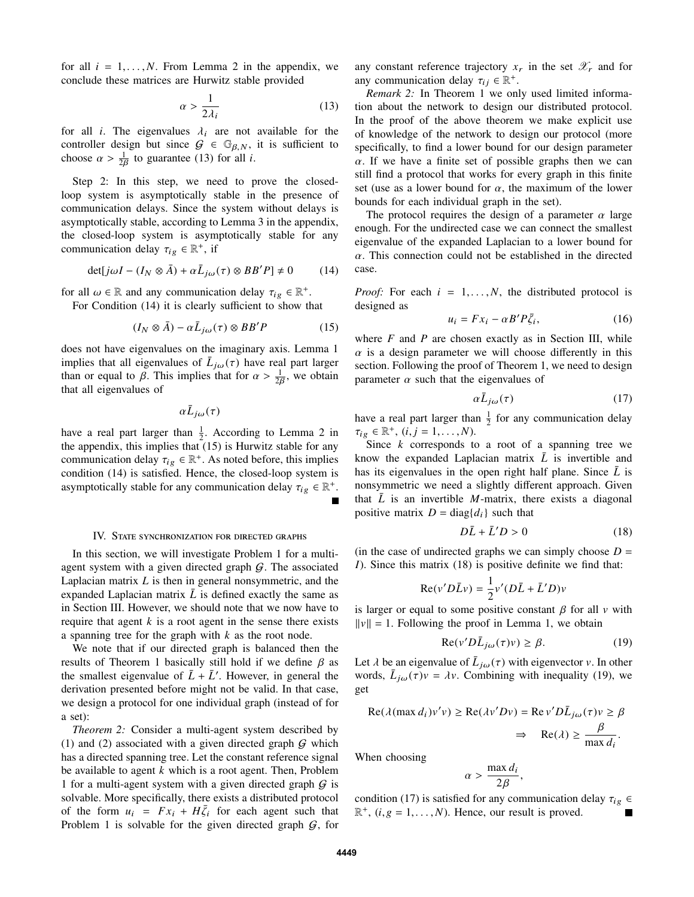for all  $i = 1, \ldots, N$ . From Lemma 2 in the appendix, we conclude these matrices are Hurwitz stable provided

$$
\alpha > \frac{1}{2\lambda_i} \tag{13}
$$

for all *i*. The eigenvalues  $\lambda_i$  are not available for the controller design but since  $G \in \mathbb{C}_{2}$  is sufficient to controller design but since  $G \in \mathbb{G}_{\beta,N}$ , it is sufficient to choose  $\alpha > \frac{1}{2\beta}$  to guarantee (13) for all *i*.

Step 2: In this step, we need to prove the closedloop system is asymptotically stable in the presence of communication delays. Since the system without delays is asymptotically stable, according to Lemma 3 in the appendix, the closed-loop system is asymptotically stable for any communication delay  $\tau_{ig} \in \mathbb{R}^+$ , if

$$
\det[j\omega I - (I_N \otimes \bar{A}) + \alpha \bar{L}_{j\omega}(\tau) \otimes BB'P] \neq 0 \tag{14}
$$

for all  $\omega \in \mathbb{R}$  and any communication delay  $\tau_{ig} \in \mathbb{R}^+$ .<br>For Condition (14) it is clearly sufficient to show the

For Condition (14) it is clearly sufficient to show that

$$
(I_N \otimes \bar{A}) - \alpha \bar{L}_{j\omega}(\tau) \otimes BB'P \tag{15}
$$

does not have eigenvalues on the imaginary axis. Lemma 1 implies that all eigenvalues of  $\bar{L}_{j\omega}(\tau)$  have real part larger<br>than or equal to  $\beta$ . This implies that for  $\alpha > \frac{1}{\gamma}$  we obtain than or equal to  $\beta$ . This implies that for  $\alpha > \frac{1}{2\beta}$ , we obtain that all eigenvalues of

 $\alpha \bar{L}_{j\omega}(\tau)$ 

have a real part larger than  $\frac{1}{2}$ . According to Lemma 2 in the appendix, this implies that (15) is Hurwitz stable for any communication delay  $\tau_{ig} \in \mathbb{R}^+$ . As noted before, this implies<br>condition (14) is satisfied. Hence, the closed-loop system is condition (14) is satisfied. Hence, the closed-loop system is asymptotically stable for any communication delay  $\tau_{ig} \in \mathbb{R}^+$ .

### IV. State synchronization for directed graphs

In this section, we will investigate Problem 1 for a multiagent system with a given directed graph  $G$ . The associated Laplacian matrix *L* is then in general nonsymmetric, and the expanded Laplacian matrix  $\overline{L}$  is defined exactly the same as in Section III. However, we should note that we now have to require that agent *k* is a root agent in the sense there exists a spanning tree for the graph with *k* as the root node.

We note that if our directed graph is balanced then the results of Theorem 1 basically still hold if we define  $\beta$  as the smallest eigenvalue of  $\bar{L} + \bar{L}'$ . However, in general the derivation presented before might not be valid. In that case, we design a protocol for one individual graph (instead of for a set):

*Theorem 2:* Consider a multi-agent system described by (1) and (2) associated with a given directed graph  $G$  which has a directed spanning tree. Let the constant reference signal be available to agent *k* which is a root agent. Then, Problem 1 for a multi-agent system with a given directed graph  $G$  is solvable. More specifically, there exists a distributed protocol of the form  $u_i = Fx_i + H\overline{\zeta}_i$  for each agent such that<br>Problem 1 is solvable for the given directed graph G for Problem 1 is solvable for the given directed graph  $G$ , for any constant reference trajectory  $x_r$  in the set  $\mathscr{X}_r$  and for any communication delay  $\tau_{ij} \in \mathbb{R}^+$ .<br>*Remark* 2: In Theorem 1 we on

*Remark 2:* In Theorem 1 we only used limited information about the network to design our distributed protocol. In the proof of the above theorem we make explicit use of knowledge of the network to design our protocol (more specifically, to find a lower bound for our design parameter  $\alpha$ . If we have a finite set of possible graphs then we can still find a protocol that works for every graph in this finite set (use as a lower bound for  $\alpha$ , the maximum of the lower bounds for each individual graph in the set).

The protocol requires the design of a parameter  $\alpha$  large enough. For the undirected case we can connect the smallest eigenvalue of the expanded Laplacian to a lower bound for  $\alpha$ . This connection could not be established in the directed case.

*Proof:* For each  $i = 1, \ldots, N$ , the distributed protocol is designed as

$$
u_i = Fx_i - \alpha B' P \bar{\zeta}_i, \qquad (16)
$$

where *F* and *P* are chosen exactly as in Section III, while  $\alpha$  is a design parameter we will choose differently in this section. Following the proof of Theorem 1, we need to design parameter  $\alpha$  such that the eigenvalues of

$$
\alpha \bar{L}_{j\omega}(\tau) \tag{17}
$$

have a real part larger than  $\frac{1}{2}$  for any communication delay  $\tau_{ig} \in \mathbb{R}^+, \ (i, j = 1, \ldots, N).$ <br>Since k corresponds to

Since *k* corresponds to a root of a spanning tree we know the expanded Laplacian matrix  $\overline{L}$  is invertible and has its eigenvalues in the open right half plane. Since  $\overline{L}$  is nonsymmetric we need a slightly different approach. Given that  $\bar{L}$  is an invertible *M*-matrix, there exists a diagonal positive matrix  $D = diag{d_i}$  such that

$$
D\bar{L} + \bar{L}'D > 0\tag{18}
$$

(in the case of undirected graphs we can simply choose  $D =$ *I*). Since this matrix (18) is positive definite we find that:

$$
Re(v'D\bar{L}v) = \frac{1}{2}v'(D\bar{L} + \bar{L}'D)v
$$

is larger or equal to some positive constant  $\beta$  for all v with  $||v|| = 1$ . Following the proof in Lemma 1, we obtain

$$
\operatorname{Re}(v'D\bar{L}_{j\omega}(\tau)v) \ge \beta. \tag{19}
$$

Let  $\lambda$  be an eigenvalue of  $\bar{L}_{j\omega}(\tau)$  with eigenvector v. In other words  $\bar{L}$  :  $(\tau)v = \lambda v$  Combining with inequality (19) we words,  $\bar{L}_{j\omega}(\tau)v = \lambda v$ . Combining with inequality (19), we get

$$
\operatorname{Re}(\lambda(\max d_i)v'v) \ge \operatorname{Re}(\lambda v'Dv) = \operatorname{Re}v'D\overline{L}_{j\omega}(\tau)v \ge \beta
$$
  

$$
\Rightarrow \operatorname{Re}(\lambda) \ge \frac{\beta}{\max d_i}.
$$

When choosing

$$
\alpha > \frac{\max d_i}{2\beta},
$$

condition (17) is satisfied for any communication delay  $\tau_{ig} \in \mathbb{R}^+$  (*i.e.* = 1 *N*). Hence our result is proved  $\mathbb{R}^+$ ,  $(i, g = 1, \dots, N)$ . Hence, our result is proved.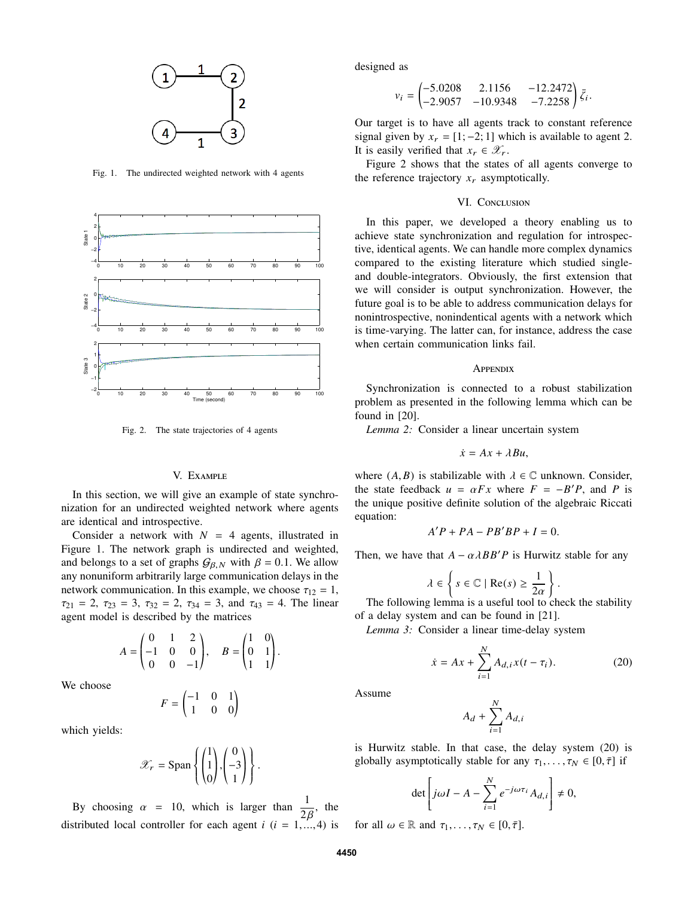

Fig. 1. The undirected weighted network with 4 agents



Fig. 2. The state trajectories of 4 agents

## V. Example

In this section, we will give an example of state synchronization for an undirected weighted network where agents are identical and introspective.

Consider a network with  $N = 4$  agents, illustrated in Figure 1. The network graph is undirected and weighted, and belongs to a set of graphs  $G_{\beta,N}$  with  $\beta = 0.1$ . We allow any nonuniform arbitrarily large communication delays in the network communication. In this example, we choose  $\tau_{12} = 1$ ,  $\tau_{21} = 2$ ,  $\tau_{23} = 3$ ,  $\tau_{32} = 2$ ,  $\tau_{34} = 3$ , and  $\tau_{43} = 4$ . The linear agent model is described by the matrices

$$
A = \begin{pmatrix} 0 & 1 & 2 \\ -1 & 0 & 0 \\ 0 & 0 & -1 \end{pmatrix}, \quad B = \begin{pmatrix} 1 & 0 \\ 0 & 1 \\ 1 & 1 \end{pmatrix}.
$$

We choose

 $F = \begin{pmatrix} -1 & 0 & 1 \\ 1 & 0 & 0 \end{pmatrix}$ 

which yields:

$$
\mathscr{X}_r = \text{Span}\left\{ \begin{pmatrix} 1 \\ 1 \\ 0 \end{pmatrix}, \begin{pmatrix} 0 \\ -3 \\ 1 \end{pmatrix} \right\}.
$$

By choosing  $\alpha = 10$ , which is larger than  $\frac{1}{2\beta}$ , the stributed local controller for each agent *i* (*i* = 1,...,4) is distributed local controller for each agent  $i$  ( $i = 1, ..., 4$ ) is designed as

$$
v_i = \begin{pmatrix} -5.0208 & 2.1156 & -12.2472 \\ -2.9057 & -10.9348 & -7.2258 \end{pmatrix} \bar{\zeta}_i
$$

Our target is to have all agents track to constant reference signal given by  $x_r = [1, -2, 1]$  which is available to agent 2. It is easily verified that  $x_r \in \mathscr{X}_r$ .

Figure 2 shows that the states of all agents converge to the reference trajectory  $x_r$  asymptotically.

## VI. CONCLUSION

In this paper, we developed a theory enabling us to achieve state synchronization and regulation for introspective, identical agents. We can handle more complex dynamics compared to the existing literature which studied singleand double-integrators. Obviously, the first extension that we will consider is output synchronization. However, the future goal is to be able to address communication delays for nonintrospective, nonindentical agents with a network which is time-varying. The latter can, for instance, address the case when certain communication links fail.

### **APPENDIX**

Synchronization is connected to a robust stabilization problem as presented in the following lemma which can be found in [20].

*Lemma 2:* Consider a linear uncertain system

$$
\dot{x}=Ax+\lambda Bu,
$$

where  $(A, B)$  is stabilizable with  $\lambda \in \mathbb{C}$  unknown. Consider, the state feedback  $u = \alpha Fx$  where  $F = -B'P$ , and *P* is<br>the unique positive definite solution of the algebraic Riccati the unique positive definite solution of the algebraic Riccati equation:

$$
A'P + PA - PB'BP + I = 0.
$$

Then, we have that  $A - \alpha \lambda BB'P$  is Hurwitz stable for any

$$
\lambda \in \left\{ s \in \mathbb{C} \mid \text{Re}(s) \ge \frac{1}{2\alpha} \right\}.
$$
  
g lemma is a useful tool to ch

The following lemma is a useful tool to check the stability of a delay system and can be found in [21].

*Lemma 3:* Consider a linear time-delay system

$$
\dot{x} = Ax + \sum_{i=1}^{N} A_{d,i} x(t - \tau_i).
$$
 (20)

Assume

$$
A_d + \sum_{i=1}^N A_{d,i}
$$

is Hurwitz stable. In that case, the delay system (20) is globally asymptotically stable for any  $\tau_1, \ldots, \tau_N \in [0, \overline{\tau}]$  if

$$
\det \left[ j\omega I - A - \sum_{i=1}^{N} e^{-j\omega \tau_i} A_{d,i} \right] \neq 0,
$$

for all  $\omega \in \mathbb{R}$  and  $\tau_1, \ldots, \tau_N \in [0, \overline{\tau}]$ .